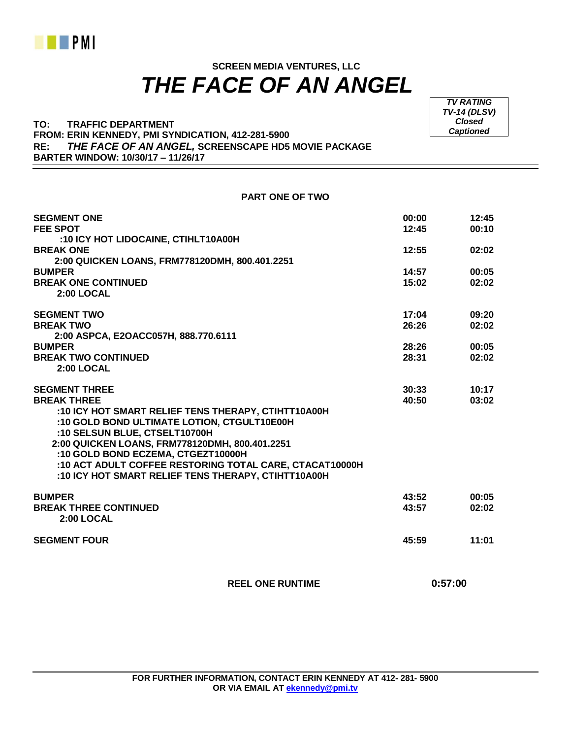

## **SCREEN MEDIA VENTURES, LLC**  *THE FACE OF AN ANGEL*

**PART ONE OF TWO**

**TO: TRAFFIC DEPARTMENT FROM: ERIN KENNEDY, PMI SYNDICATION, 412-281-5900 RE:** *THE FACE OF AN ANGEL,* **SCREENSCAPE HD5 MOVIE PACKAGE BARTER WINDOW: 10/30/17 – 11/26/17**

*TV RATING TV-14 (DLSV) Closed Captioned*

| <b>SEGMENT ONE</b>                                                                                             | 00:00          | 12:45          |
|----------------------------------------------------------------------------------------------------------------|----------------|----------------|
| <b>FEE SPOT</b>                                                                                                | 12:45          | 00:10          |
| :10 ICY HOT LIDOCAINE, CTIHLT10A00H                                                                            |                |                |
| <b>BREAK ONE</b>                                                                                               | 12:55          | 02:02          |
| 2:00 QUICKEN LOANS, FRM778120DMH, 800.401.2251                                                                 |                |                |
| <b>BUMPER</b><br><b>BREAK ONE CONTINUED</b>                                                                    | 14:57<br>15:02 | 00:05<br>02:02 |
| 2:00 LOCAL                                                                                                     |                |                |
|                                                                                                                |                |                |
| <b>SEGMENT TWO</b><br><b>BREAK TWO</b>                                                                         | 17:04<br>26:26 | 09:20<br>02:02 |
| 2:00 ASPCA, E2OACC057H, 888.770.6111                                                                           |                |                |
| <b>BUMPER</b>                                                                                                  | 28:26          | 00:05          |
| <b>BREAK TWO CONTINUED</b>                                                                                     | 28:31          | 02:02          |
| 2:00 LOCAL                                                                                                     |                |                |
| <b>SEGMENT THREE</b>                                                                                           | 30:33          | 10:17          |
| <b>BREAK THREE</b>                                                                                             | 40:50          | 03:02          |
| :10 ICY HOT SMART RELIEF TENS THERAPY, CTIHTT10A00H                                                            |                |                |
| :10 GOLD BOND ULTIMATE LOTION, CTGULT10E00H                                                                    |                |                |
| :10 SELSUN BLUE, CTSELT10700H                                                                                  |                |                |
| 2:00 QUICKEN LOANS, FRM778120DMH, 800.401.2251                                                                 |                |                |
| :10 GOLD BOND ECZEMA, CTGEZT10000H                                                                             |                |                |
| :10 ACT ADULT COFFEE RESTORING TOTAL CARE, CTACAT10000H<br>:10 ICY HOT SMART RELIEF TENS THERAPY, CTIHTT10A00H |                |                |
|                                                                                                                |                |                |
| <b>BUMPER</b>                                                                                                  | 43:52          | 00:05          |
| <b>BREAK THREE CONTINUED</b>                                                                                   | 43:57          | 02:02          |
| 2:00 LOCAL                                                                                                     |                |                |
| <b>SEGMENT FOUR</b>                                                                                            | 45:59          | 11:01          |
|                                                                                                                |                |                |
|                                                                                                                |                |                |

 **REEL ONE RUNTIME 0:57:00**